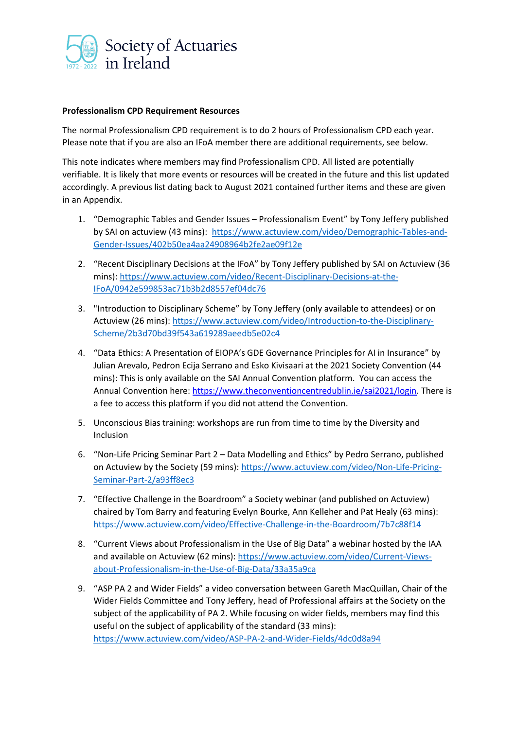

## **Professionalism CPD Requirement Resources**

The normal Professionalism CPD requirement is to do 2 hours of Professionalism CPD each year. Please note that if you are also an IFoA member there are additional requirements, see below.

This note indicates where members may find Professionalism CPD. All listed are potentially verifiable. It is likely that more events or resources will be created in the future and this list updated accordingly. A previous list dating back to August 2021 contained further items and these are given in an Appendix.

- 1. "Demographic Tables and Gender Issues Professionalism Event" by Tony Jeffery published by SAI on actuview (43 mins): [https://www.actuview.com/video/Demographic-Tables-and-](https://www.actuview.com/video/Demographic-Tables-and-Gender-Issues/402b50ea4aa24908964b2fe2ae09f12e)[Gender-Issues/402b50ea4aa24908964b2fe2ae09f12e](https://www.actuview.com/video/Demographic-Tables-and-Gender-Issues/402b50ea4aa24908964b2fe2ae09f12e)
- 2. "Recent Disciplinary Decisions at the IFoA" by Tony Jeffery published by SAI on Actuview (36 mins): [https://www.actuview.com/video/Recent-Disciplinary-Decisions-at-the-](https://www.actuview.com/video/Recent-Disciplinary-Decisions-at-the-IFoA/0942e599853ac71b3b2d8557ef04dc76)[IFoA/0942e599853ac71b3b2d8557ef04dc76](https://www.actuview.com/video/Recent-Disciplinary-Decisions-at-the-IFoA/0942e599853ac71b3b2d8557ef04dc76)
- 3. "Introduction to Disciplinary Scheme" by Tony Jeffery (only available to attendees) or on Actuview (26 mins): [https://www.actuview.com/video/Introduction-to-the-Disciplinary-](https://www.actuview.com/video/Introduction-to-the-Disciplinary-Scheme/2b3d70bd39f543a619289aeedb5e02c4)[Scheme/2b3d70bd39f543a619289aeedb5e02c4](https://www.actuview.com/video/Introduction-to-the-Disciplinary-Scheme/2b3d70bd39f543a619289aeedb5e02c4)
- 4. "Data Ethics: A Presentation of EIOPA's GDE Governance Principles for AI in Insurance" by Julian Arevalo, Pedron Ecija Serrano and Esko Kivisaari at the 2021 Society Convention (44 mins): This is only available on the SAI Annual Convention platform. You can access the Annual Convention here: [https://www.theconventioncentredublin.ie/sai2021/login.](https://www.theconventioncentredublin.ie/sai2021/login) There is a fee to access this platform if you did not attend the Convention.
- 5. Unconscious Bias training: workshops are run from time to time by the Diversity and Inclusion
- 6. "Non-Life Pricing Seminar Part 2 Data Modelling and Ethics" by Pedro Serrano, published on Actuview by the Society (59 mins): [https://www.actuview.com/video/Non-Life-Pricing-](https://www.actuview.com/video/Non-Life-Pricing-Seminar-Part-2/a93ff8ec3)[Seminar-Part-2/a93ff8ec3](https://www.actuview.com/video/Non-Life-Pricing-Seminar-Part-2/a93ff8ec3)
- 7. "Effective Challenge in the Boardroom" a Society webinar (and published on Actuview) chaired by Tom Barry and featuring Evelyn Bourke, Ann Kelleher and Pat Healy (63 mins): <https://www.actuview.com/video/Effective-Challenge-in-the-Boardroom/7b7c88f14>
- 8. "Current Views about Professionalism in the Use of Big Data" a webinar hosted by the IAA and available on Actuview (62 mins): [https://www.actuview.com/video/Current-Views](https://www.actuview.com/video/Current-Views-about-Professionalism-in-the-Use-of-Big-Data/33a35a9ca)[about-Professionalism-in-the-Use-of-Big-Data/33a35a9ca](https://www.actuview.com/video/Current-Views-about-Professionalism-in-the-Use-of-Big-Data/33a35a9ca)
- 9. "ASP PA 2 and Wider Fields" a video conversation between Gareth MacQuillan, Chair of the Wider Fields Committee and Tony Jeffery, head of Professional affairs at the Society on the subject of the applicability of PA 2. While focusing on wider fields, members may find this useful on the subject of applicability of the standard (33 mins): <https://www.actuview.com/video/ASP-PA-2-and-Wider-Fields/4dc0d8a94>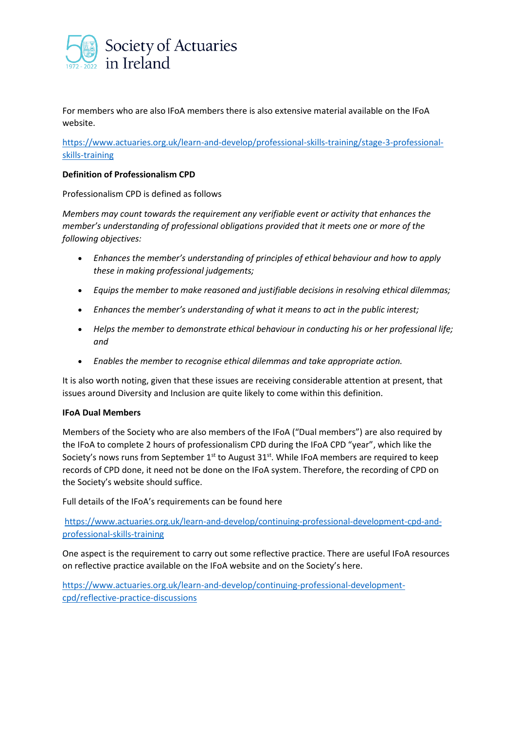

For members who are also IFoA members there is also extensive material available on the IFoA website.

[https://www.actuaries.org.uk/learn-and-develop/professional-skills-training/stage-3-professional](https://www.actuaries.org.uk/learn-and-develop/professional-skills-training/stage-3-professional-skills-training)[skills-training](https://www.actuaries.org.uk/learn-and-develop/professional-skills-training/stage-3-professional-skills-training)

## **Definition of Professionalism CPD**

Professionalism CPD is defined as follows

*Members may count towards the requirement any verifiable event or activity that enhances the member's understanding of professional obligations provided that it meets one or more of the following objectives:*

- *Enhances the member's understanding of principles of ethical behaviour and how to apply these in making professional judgements;*
- *Equips the member to make reasoned and justifiable decisions in resolving ethical dilemmas;*
- *Enhances the member's understanding of what it means to act in the public interest;*
- *Helps the member to demonstrate ethical behaviour in conducting his or her professional life; and*
- *Enables the member to recognise ethical dilemmas and take appropriate action.*

It is also worth noting, given that these issues are receiving considerable attention at present, that issues around Diversity and Inclusion are quite likely to come within this definition.

## **IFoA Dual Members**

Members of the Society who are also members of the IFoA ("Dual members") are also required by the IFoA to complete 2 hours of professionalism CPD during the IFoA CPD "year", which like the Society's nows runs from September  $1^{st}$  to August 31 $^{st}$ . While IFoA members are required to keep records of CPD done, it need not be done on the IFoA system. Therefore, the recording of CPD on the Society's website should suffice.

Full details of the IFoA's requirements can be found here

[https://www.actuaries.org.uk/learn-and-develop/continuing-professional-development-cpd-and](https://www.actuaries.org.uk/learn-and-develop/continuing-professional-development-cpd-and-professional-skills-training)[professional-skills-training](https://www.actuaries.org.uk/learn-and-develop/continuing-professional-development-cpd-and-professional-skills-training)

One aspect is the requirement to carry out some reflective practice. There are useful IFoA resources on reflective practice available on the IFoA website and on the Society's here.

[https://www.actuaries.org.uk/learn-and-develop/continuing-professional-development](https://www.actuaries.org.uk/learn-and-develop/continuing-professional-development-cpd/reflective-practice-discussions)[cpd/reflective-practice-discussions](https://www.actuaries.org.uk/learn-and-develop/continuing-professional-development-cpd/reflective-practice-discussions)